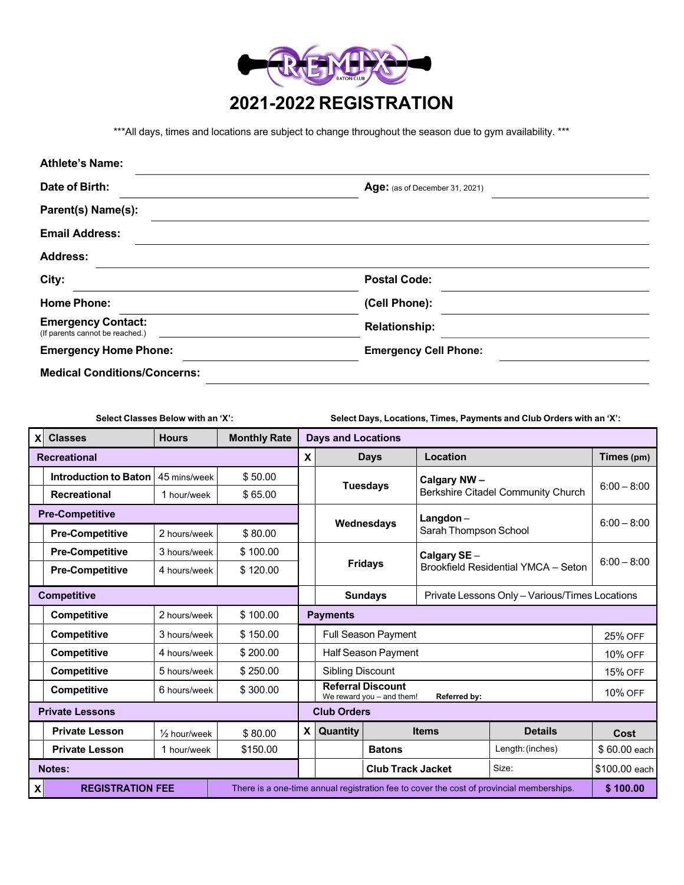

\*\*\*All days, times and locations are subject to change throughout the season due to gym availability. \*\*\*

| <b>Athlete's Name:</b>                                       |                                       |  |  |  |  |
|--------------------------------------------------------------|---------------------------------------|--|--|--|--|
| Date of Birth:                                               | <b>Age:</b> (as of December 31, 2021) |  |  |  |  |
| Parent(s) Name(s):                                           |                                       |  |  |  |  |
| <b>Email Address:</b>                                        |                                       |  |  |  |  |
| <b>Address:</b>                                              |                                       |  |  |  |  |
| City:                                                        | <b>Postal Code:</b>                   |  |  |  |  |
| <b>Home Phone:</b>                                           | (Cell Phone):                         |  |  |  |  |
| <b>Emergency Contact:</b><br>(If parents cannot be reached.) | <b>Relationship:</b>                  |  |  |  |  |
| <b>Emergency Home Phone:</b>                                 | <b>Emergency Cell Phone:</b>          |  |  |  |  |
| <b>Medical Conditions/Concerns:</b>                          |                                       |  |  |  |  |

**Select Classes Below with an 'X': Select Days, Locations, Times, Payments and Club Orders with an 'X':**

| X                      | <b>Classes</b>               | <b>Hours</b>            | <b>Monthly Rate</b> |                                                                                          | <b>Days and Locations</b>                                             |                 |                                                    |                  |                |  |
|------------------------|------------------------------|-------------------------|---------------------|------------------------------------------------------------------------------------------|-----------------------------------------------------------------------|-----------------|----------------------------------------------------|------------------|----------------|--|
| <b>Recreational</b>    |                              |                         | X                   | <b>Days</b>                                                                              |                                                                       | Location        |                                                    | Times (pm)       |                |  |
|                        | <b>Introduction to Baton</b> | 45 mins/week            | \$50.00             |                                                                                          |                                                                       |                 | Calgary NW-                                        |                  |                |  |
|                        | <b>Recreational</b>          | 1 hour/week             | \$65.00             |                                                                                          |                                                                       | <b>Tuesdays</b> | <b>Berkshire Citadel Community Church</b>          |                  | $6:00 - 8:00$  |  |
| <b>Pre-Competitive</b> |                              |                         |                     | Wednesdays                                                                               |                                                                       | $L$ angdon $-$  |                                                    | $6:00 - 8:00$    |                |  |
|                        | <b>Pre-Competitive</b>       | 2 hours/week            | \$80.00             |                                                                                          |                                                                       |                 | Sarah Thompson School                              |                  |                |  |
|                        | <b>Pre-Competitive</b>       | 3 hours/week            | \$100.00            |                                                                                          | <b>Fridays</b>                                                        |                 | Calgary SE-<br>Brookfield Residential YMCA - Seton |                  | $6:00 - 8:00$  |  |
|                        | <b>Pre-Competitive</b>       | 4 hours/week            | \$120.00            |                                                                                          |                                                                       |                 |                                                    |                  |                |  |
| <b>Competitive</b>     |                              |                         |                     | Private Lessons Only - Various/Times Locations<br><b>Sundays</b>                         |                                                                       |                 |                                                    |                  |                |  |
|                        | <b>Competitive</b>           | 2 hours/week            | \$100.00            |                                                                                          | <b>Payments</b>                                                       |                 |                                                    |                  |                |  |
|                        | <b>Competitive</b>           | 3 hours/week            | \$150.00            |                                                                                          | <b>Full Season Payment</b>                                            |                 |                                                    |                  | 25% OFF        |  |
|                        | <b>Competitive</b>           | 4 hours/week            | \$200.00            |                                                                                          | <b>Half Season Payment</b>                                            |                 |                                                    |                  | 10% OFF        |  |
|                        | <b>Competitive</b>           | 5 hours/week            | \$250.00            |                                                                                          | <b>Sibling Discount</b>                                               |                 |                                                    |                  | <b>15% OFF</b> |  |
|                        | <b>Competitive</b>           | 6 hours/week            | \$300.00            |                                                                                          | <b>Referral Discount</b><br>We reward you - and them!<br>Referred by: |                 |                                                    |                  | <b>10% OFF</b> |  |
| <b>Private Lessons</b> |                              |                         |                     | <b>Club Orders</b>                                                                       |                                                                       |                 |                                                    |                  |                |  |
|                        | <b>Private Lesson</b>        | $\frac{1}{2}$ hour/week | \$80.00             | <b>X</b>                                                                                 | Quantity                                                              |                 | <b>Items</b>                                       | <b>Details</b>   | Cost           |  |
|                        | <b>Private Lesson</b>        | 1 hour/week             | \$150.00            |                                                                                          |                                                                       | <b>Batons</b>   |                                                    | Length: (inches) | $$60.00$ each  |  |
| <b>Notes:</b>          |                              |                         |                     |                                                                                          | <b>Club Track Jacket</b>                                              |                 | Size:                                              | \$100.00 each    |                |  |
| X                      | <b>REGISTRATION FEE</b>      |                         |                     | There is a one-time annual registration fee to cover the cost of provincial memberships. |                                                                       |                 |                                                    |                  | \$100.00       |  |